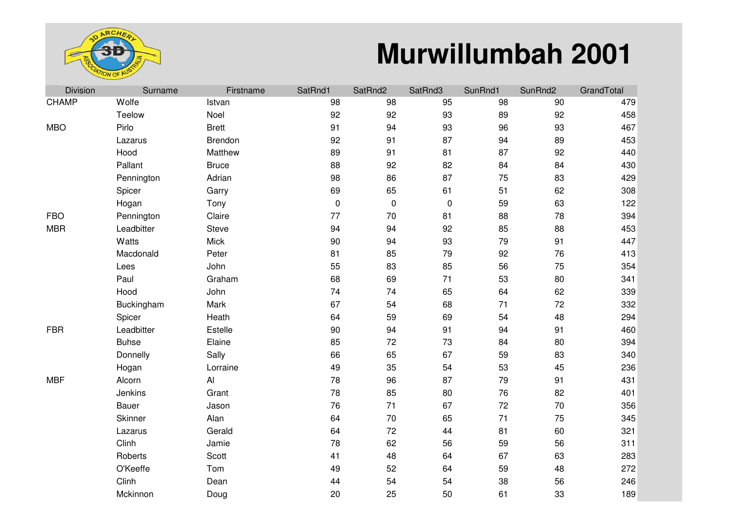

## **Murwillumbah 2001**

| <b>Division</b> | Surname      | Firstname    | SatRnd1   | SatRnd2   | SatRnd3   | SunRnd1 | SunRnd2 | GrandTotal |
|-----------------|--------------|--------------|-----------|-----------|-----------|---------|---------|------------|
| <b>CHAMP</b>    | Wolfe        | Istvan       | 98        | 98        | 95        | 98      | 90      | 479        |
|                 | Teelow       | Noel         | 92        | 92        | 93        | 89      | 92      | 458        |
| <b>MBO</b>      | Pirlo        | <b>Brett</b> | 91        | 94        | 93        | 96      | 93      | 467        |
|                 | Lazarus      | Brendon      | 92        | 91        | 87        | 94      | 89      | 453        |
|                 | Hood         | Matthew      | 89        | 91        | 81        | 87      | 92      | 440        |
|                 | Pallant      | <b>Bruce</b> | 88        | 92        | 82        | 84      | 84      | 430        |
|                 | Pennington   | Adrian       | 98        | 86        | 87        | 75      | 83      | 429        |
|                 | Spicer       | Garry        | 69        | 65        | 61        | 51      | 62      | 308        |
|                 | Hogan        | Tony         | $\pmb{0}$ | $\pmb{0}$ | $\pmb{0}$ | 59      | 63      | 122        |
| <b>FBO</b>      | Pennington   | Claire       | 77        | 70        | 81        | 88      | 78      | 394        |
| <b>MBR</b>      | Leadbitter   | Steve        | 94        | 94        | 92        | 85      | 88      | 453        |
|                 | Watts        | Mick         | 90        | 94        | 93        | 79      | 91      | 447        |
|                 | Macdonald    | Peter        | 81        | 85        | 79        | 92      | 76      | 413        |
|                 | Lees         | John         | 55        | 83        | 85        | 56      | 75      | 354        |
|                 | Paul         | Graham       | 68        | 69        | 71        | 53      | 80      | 341        |
|                 | Hood         | John         | 74        | 74        | 65        | 64      | 62      | 339        |
|                 | Buckingham   | Mark         | 67        | 54        | 68        | 71      | 72      | 332        |
|                 | Spicer       | Heath        | 64        | 59        | 69        | 54      | 48      | 294        |
| <b>FBR</b>      | Leadbitter   | Estelle      | 90        | 94        | 91        | 94      | 91      | 460        |
|                 | <b>Buhse</b> | Elaine       | 85        | 72        | 73        | 84      | 80      | 394        |
|                 | Donnelly     | Sally        | 66        | 65        | 67        | 59      | 83      | 340        |
|                 | Hogan        | Lorraine     | 49        | 35        | 54        | 53      | 45      | 236        |
| <b>MBF</b>      | Alcorn       | Al           | 78        | 96        | 87        | 79      | 91      | 431        |
|                 | Jenkins      | Grant        | 78        | 85        | 80        | 76      | 82      | 401        |
|                 | Bauer        | Jason        | 76        | 71        | 67        | 72      | 70      | 356        |
|                 | Skinner      | Alan         | 64        | 70        | 65        | 71      | 75      | 345        |
|                 | Lazarus      | Gerald       | 64        | 72        | 44        | 81      | 60      | 321        |
|                 | Clinh        | Jamie        | 78        | 62        | 56        | 59      | 56      | 311        |
|                 | Roberts      | Scott        | 41        | 48        | 64        | 67      | 63      | 283        |
|                 | O'Keeffe     | Tom          | 49        | 52        | 64        | 59      | 48      | 272        |
|                 | Clinh        | Dean         | 44        | 54        | 54        | 38      | 56      | 246        |
|                 | Mckinnon     | Doug         | 20        | 25        | 50        | 61      | 33      | 189        |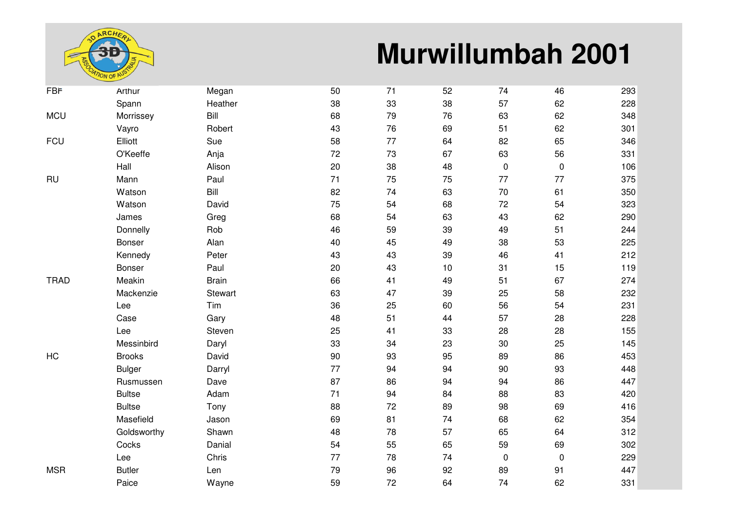

## **Murwillumbah 2001**

| <b>FBF</b>  | Arthur        | Megan        | 50 | 71 | 52 | 74               | 46        | 293 |
|-------------|---------------|--------------|----|----|----|------------------|-----------|-----|
|             | Spann         | Heather      | 38 | 33 | 38 | 57               | 62        | 228 |
| <b>MCU</b>  | Morrissey     | Bill         | 68 | 79 | 76 | 63               | 62        | 348 |
|             | Vayro         | Robert       | 43 | 76 | 69 | 51               | 62        | 301 |
| <b>FCU</b>  | Elliott       | Sue          | 58 | 77 | 64 | 82               | 65        | 346 |
|             | O'Keeffe      | Anja         | 72 | 73 | 67 | 63               | 56        | 331 |
|             | Hall          | Alison       | 20 | 38 | 48 | $\boldsymbol{0}$ | $\pmb{0}$ | 106 |
| <b>RU</b>   | Mann          | Paul         | 71 | 75 | 75 | 77               | 77        | 375 |
|             | Watson        | Bill         | 82 | 74 | 63 | 70               | 61        | 350 |
|             | Watson        | David        | 75 | 54 | 68 | 72               | 54        | 323 |
|             | James         | Greg         | 68 | 54 | 63 | 43               | 62        | 290 |
|             | Donnelly      | Rob          | 46 | 59 | 39 | 49               | 51        | 244 |
|             | Bonser        | Alan         | 40 | 45 | 49 | 38               | 53        | 225 |
|             | Kennedy       | Peter        | 43 | 43 | 39 | 46               | 41        | 212 |
|             | Bonser        | Paul         | 20 | 43 | 10 | 31               | 15        | 119 |
| <b>TRAD</b> | Meakin        | <b>Brain</b> | 66 | 41 | 49 | 51               | 67        | 274 |
|             | Mackenzie     | Stewart      | 63 | 47 | 39 | 25               | 58        | 232 |
|             | Lee           | Tim          | 36 | 25 | 60 | 56               | 54        | 231 |
|             | Case          | Gary         | 48 | 51 | 44 | 57               | 28        | 228 |
|             | Lee           | Steven       | 25 | 41 | 33 | 28               | 28        | 155 |
|             | Messinbird    | Daryl        | 33 | 34 | 23 | 30               | 25        | 145 |
| HC          | <b>Brooks</b> | David        | 90 | 93 | 95 | 89               | 86        | 453 |
|             | <b>Bulger</b> | Darryl       | 77 | 94 | 94 | 90               | 93        | 448 |
|             | Rusmussen     | Dave         | 87 | 86 | 94 | 94               | 86        | 447 |
|             | <b>Bultse</b> | Adam         | 71 | 94 | 84 | 88               | 83        | 420 |
|             | <b>Bultse</b> | Tony         | 88 | 72 | 89 | 98               | 69        | 416 |
|             | Masefield     | Jason        | 69 | 81 | 74 | 68               | 62        | 354 |
|             | Goldsworthy   | Shawn        | 48 | 78 | 57 | 65               | 64        | 312 |
|             | Cocks         | Danial       | 54 | 55 | 65 | 59               | 69        | 302 |
|             | Lee           | Chris        | 77 | 78 | 74 | $\mathbf 0$      | $\pmb{0}$ | 229 |
| <b>MSR</b>  | <b>Butler</b> | Len          | 79 | 96 | 92 | 89               | 91        | 447 |
|             | Paice         | Wayne        | 59 | 72 | 64 | 74               | 62        | 331 |